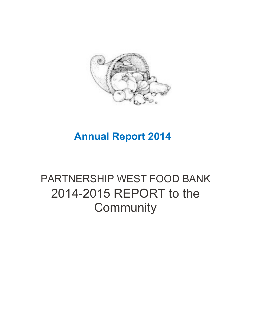

## **Annual Report 2014**

# PARTNERSHIP WEST FOOD BANK 2014-2015 REPORT to the **Community**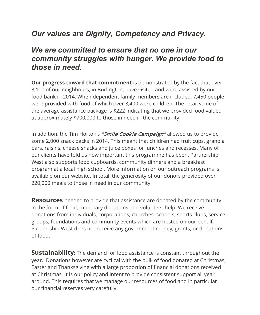### *Our values are Dignity, Competency and Privacy.*

#### *We are committed to ensure that no one in our community struggles with hunger. We provide food to those in need.*

**Our progress toward that commitment** is demonstrated by the fact that over 3,100 of our neighbours, in Burlington, have visited and were assisted by our food bank in 2014. When dependent family members are included, 7,450 people were provided with food of which over 3,400 were children. The retail value of the average assistance package is \$222 indicating that we provided food valued at approximately \$700,000 to those in need in the community.

In addition, the Tim Horton's "Smile Cookie Campaign" allowed us to provide some 2,000 snack packs in 2014. This meant that children had fruit cups, granola bars, raisins, cheese snacks and juice boxes for lunches and recesses. Many of our clients have told us how important this programme has been. Partnership West also supports food cupboards, community dinners and a breakfast program at a local high school. More information on our outreach programs is available on our website. In total, the generosity of our donors provided over 220,000 meals to those in need in our community.

**Resources** needed to provide that assistance are donated by the community in the form of food, monetary donations and volunteer help. We receive donations from individuals, corporations, churches, schools, sports clubs, service groups, foundations and community events which are hosted on our behalf. Partnership West does not receive any government money, grants, or donations of food.

**Sustainability:** The demand for food assistance is constant throughout the year. Donations however are cyclical with the bulk of food donated at Christmas, Easter and Thanksgiving with a large proportion of financial donations received at Christmas. It is our policy and intent to provide consistent support all year around. This requires that we manage our resources of food and in particular our financial reserves very carefully.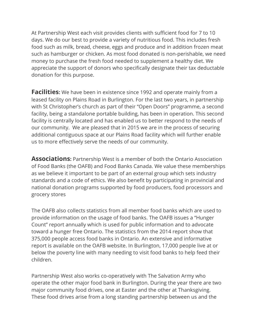At Partnership West each visit provides clients with sufficient food for 7 to 10 days. We do our best to provide a variety of nutritious food. This includes fresh food such as milk, bread, cheese, eggs and produce and in addition frozen meat such as hamburger or chicken. As most food donated is non-perishable, we need money to purchase the fresh food needed to supplement a healthy diet. We appreciate the support of donors who specifically designate their tax deductable donation for this purpose.

**Facilities:** We have been in existence since 1992 and operate mainly from a leased facility on Plains Road in Burlington. For the last two years, in partnership with St Christopher's church as part of their "Open Doors" programme, a second facility, being a standalone portable building, has been in operation. This second facility is centrally located and has enabled us to better respond to the needs of our community. We are pleased that in 2015 we are in the process of securing additional contiguous space at our Plains Road facility which will further enable us to more effectively serve the needs of our community.

**Associations:** Partnership West is a member of both the Ontario Association of Food Banks (the OAFB) and Food Banks Canada. We value these memberships as we believe it important to be part of an external group which sets industry standards and a code of ethics. We also benefit by participating in provincial and national donation programs supported by food producers, food processors and grocery stores

The OAFB also collects statistics from all member food banks which are used to provide information on the usage of food banks. The OAFB issues a "Hunger Count" report annually which is used for public information and to advocate toward a hunger free Ontario. The statistics from the 2014 report show that 375,000 people access food banks in Ontario. An extensive and informative report is available on the OAFB website. In Burlington, 17,000 people live at or below the poverty line with many needing to visit food banks to help feed their children.

Partnership West also works co-operatively with The Salvation Army who operate the other major food bank in Burlington. During the year there are two major community food drives, one at Easter and the other at Thanksgiving. These food drives arise from a long standing partnership between us and the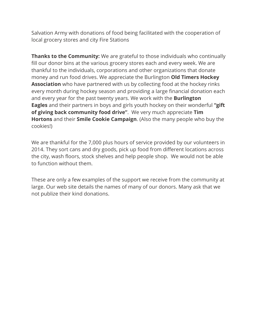Salvation Army with donations of food being facilitated with the cooperation of local grocery stores and city Fire Stations

**Thanks to the Community:** We are grateful to those individuals who continually fill our donor bins at the various grocery stores each and every week. We are thankful to the individuals, corporations and other organizations that donate money and run food drives. We appreciate the Burlington **Old Timers Hockey Association** who have partnered with us by collecting food at the hockey rinks every month during hockey season and providing a large financial donation each and every year for the past twenty years. We work with the **Burlington Eagles** and their partners in boys and girls youth hockey on their wonderful **"gift of giving back community food drive"**. We very much appreciate **Tim Hortons** and their **Smile Cookie Campaign**. (Also the many people who buy the cookies!)

We are thankful for the 7,000 plus hours of service provided by our volunteers in 2014. They sort cans and dry goods, pick up food from different locations across the city, wash floors, stock shelves and help people shop. We would not be able to function without them.

These are only a few examples of the support we receive from the community at large. Our web site details the names of many of our donors. Many ask that we not publize their kind donations.